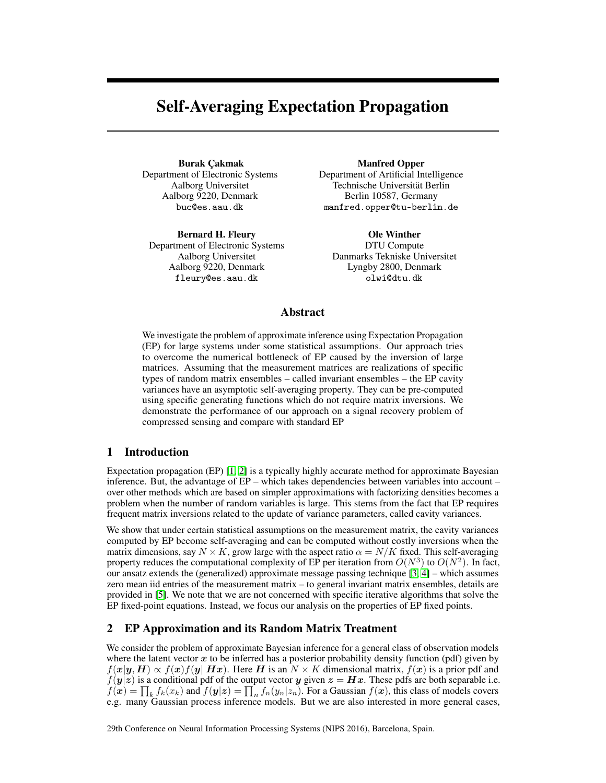# Self-Averaging Expectation Propagation

Burak Çakmak Department of Electronic Systems Aalborg Universitet Aalborg 9220, Denmark buc@es.aau.dk

Bernard H. Fleury Department of Electronic Systems Aalborg Universitet Aalborg 9220, Denmark fleury@es.aau.dk

Manfred Opper Department of Artificial Intelligence Technische Universität Berlin Berlin 10587, Germany manfred.opper@tu-berlin.de

Ole Winther DTU Compute Danmarks Tekniske Universitet Lyngby 2800, Denmark olwi@dtu.dk

## Abstract

We investigate the problem of approximate inference using Expectation Propagation (EP) for large systems under some statistical assumptions. Our approach tries to overcome the numerical bottleneck of EP caused by the inversion of large matrices. Assuming that the measurement matrices are realizations of specific types of random matrix ensembles – called invariant ensembles – the EP cavity variances have an asymptotic self-averaging property. They can be pre-computed using specific generating functions which do not require matrix inversions. We demonstrate the performance of our approach on a signal recovery problem of compressed sensing and compare with standard EP

## 1 Introduction

Expectation propagation (EP) [\[1,](#page-4-0) [2\]](#page-4-1) is a typically highly accurate method for approximate Bayesian inference. But, the advantage of EP – which takes dependencies between variables into account – over other methods which are based on simpler approximations with factorizing densities becomes a problem when the number of random variables is large. This stems from the fact that EP requires frequent matrix inversions related to the update of variance parameters, called cavity variances.

We show that under certain statistical assumptions on the measurement matrix, the cavity variances computed by EP become self-averaging and can be computed without costly inversions when the matrix dimensions, say  $N \times K$ , grow large with the aspect ratio  $\alpha = N/K$  fixed. This self-averaging property reduces the computational complexity of EP per iteration from  $O(N^3)$  to  $O(N^2)$ . In fact, our ansatz extends the (generalized) approximate message passing technique [\[3,](#page-4-2) [4\]](#page-4-3) – which assumes zero mean iid entries of the measurement matrix – to general invariant matrix ensembles, details are provided in [\[5\]](#page-4-4). We note that we are not concerned with specific iterative algorithms that solve the EP fixed-point equations. Instead, we focus our analysis on the properties of EP fixed points.

## 2 EP Approximation and its Random Matrix Treatment

We consider the problem of approximate Bayesian inference for a general class of observation models where the latent vector  $x$  to be inferred has a posterior probability density function (pdf) given by  $f(x|y, H) \propto f(x)f(y|Hx)$ . Here H is an  $N \times K$  dimensional matrix,  $f(x)$  is a prior pdf and  $f(y|z)$  is a conditional pdf of the output vector y given  $z = Hx$ . These pdfs are both separable i.e.  $f(x) = \prod_k f_k(x_k)$  and  $f(y|z) = \prod_n f_n(y_n|z_n)$ . For a Gaussian  $f(x)$ , this class of models covers e.g. many Gaussian process inference models. But we are also interested in more general cases,

29th Conference on Neural Information Processing Systems (NIPS 2016), Barcelona, Spain.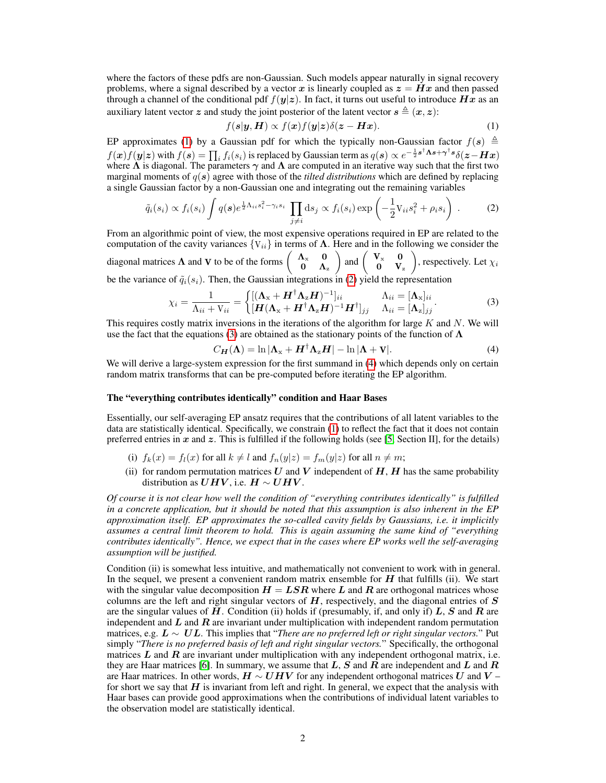where the factors of these pdfs are non-Gaussian. Such models appear naturally in signal recovery problems, where a signal described by a vector x is linearly coupled as  $z = Hx$  and then passed through a channel of the conditional pdf  $f(y|z)$ . In fact, it turns out useful to introduce  $Hx$  as an auxiliary latent vector z and study the joint posterior of the latent vector  $s \triangleq (x, z)$ :

<span id="page-1-0"></span>
$$
f(\mathbf{s}|\mathbf{y}, \mathbf{H}) \propto f(\mathbf{x})f(\mathbf{y}|\mathbf{z})\delta(\mathbf{z} - \mathbf{H}\mathbf{x}).
$$
 (1)

EP approximates [\(1\)](#page-1-0) by a Gaussian pdf for which the typically non-Gaussian factor  $f(s) \triangleq$  $f(\bm{x})f(\bm{y}|\bm{z})$  with  $f(\bm{s})=\prod_i f_i(s_i)$  is replaced by Gaussian term as  $q(\bm{s})\propto e^{-\frac{1}{2}\bm{s}^\dagger\bm{\Lambda}\bm{s}+\bm{\gamma}^\dagger\bm{s}}\delta(\bm{z}-\bm{H}\bm{x})$ where  $\Lambda$  is diagonal. The parameters  $\gamma$  and  $\Lambda$  are computed in an iterative way such that the first two marginal moments of  $q(s)$  agree with those of the *tilted distributions* which are defined by replacing a single Gaussian factor by a non-Gaussian one and integrating out the remaining variables

<span id="page-1-1"></span>
$$
\tilde{q}_i(s_i) \propto f_i(s_i) \int q(\boldsymbol{s}) e^{\frac{1}{2} \Lambda_{ii} s_i^2 - \gamma_i s_i} \prod_{j \neq i} \mathrm{d}s_j \propto f_i(s_i) \exp \left( -\frac{1}{2} \mathrm{V}_{ii} s_i^2 + \rho_i s_i \right) \,. \tag{2}
$$

From an algorithmic point of view, the most expensive operations required in EP are related to the computation of the cavity variances  ${V_{ii}}$  in terms of  $\Lambda$ . Here and in the following we consider the diagonal matrices  $\Lambda$  and V to be of the forms  $\begin{pmatrix} \Lambda_x & 0 \\ 0 & \Lambda_y \end{pmatrix}$  $0 \Lambda_{\rm z}$  $\bigg)$  and  $\bigg( \begin{array}{cc} V_{x} & 0 \\ 0 & V \end{array} \bigg)$  $0$   $V_z$ ), respectively. Let  $\chi_i$ be the variance of  $\tilde{q}_i(s_i)$ . Then, the Gaussian integrations in [\(2\)](#page-1-1) yield the representation

<span id="page-1-2"></span>
$$
\chi_i = \frac{1}{\Lambda_{ii} + V_{ii}} = \begin{cases} [(\mathbf{\Lambda}_x + \mathbf{H}^\dagger \mathbf{\Lambda}_z \mathbf{H})^{-1}]_{ii} & \Lambda_{ii} = [\mathbf{\Lambda}_x]_{ii} \\ [\mathbf{H}(\mathbf{\Lambda}_x + \mathbf{H}^\dagger \mathbf{\Lambda}_z \mathbf{H})^{-1} \mathbf{H}^\dagger]_{jj} & \Lambda_{ii} = [\mathbf{\Lambda}_z]_{jj} \end{cases} .
$$
 (3)

This requires costly matrix inversions in the iterations of the algorithm for large K and N. We will use the fact that the equations [\(3\)](#page-1-2) are obtained as the stationary points of the function of  $\Lambda$ 

<span id="page-1-3"></span>
$$
C_{\mathbf{H}}(\mathbf{\Lambda}) = \ln |\mathbf{\Lambda}_{\mathbf{x}} + \mathbf{H}^{\dagger} \mathbf{\Lambda}_{\mathbf{z}} \mathbf{H}| - \ln |\mathbf{\Lambda} + \mathbf{V}|. \tag{4}
$$

We will derive a large-system expression for the first summand in [\(4\)](#page-1-3) which depends only on certain random matrix transforms that can be pre-computed before iterating the EP algorithm.

#### The "everything contributes identically" condition and Haar Bases

Essentially, our self-averaging EP ansatz requires that the contributions of all latent variables to the data are statistically identical. Specifically, we constrain [\(1\)](#page-1-0) to reflect the fact that it does not contain preferred entries in  $x$  and  $z$ . This is fulfilled if the following holds (see [\[5,](#page-4-4) Section II], for the details)

- (i)  $f_k(x) = f_l(x)$  for all  $k \neq l$  and  $f_n(y|z) = f_m(y|z)$  for all  $n \neq m$ ;
- (ii) for random permutation matrices U and V independent of  $H$ ,  $H$  has the same probability distribution as  $UHV$ , i.e.  $H \sim UHV$ .

*Of course it is not clear how well the condition of "everything contributes identically" is fulfilled in a concrete application, but it should be noted that this assumption is also inherent in the EP approximation itself. EP approximates the so-called cavity fields by Gaussians, i.e. it implicitly assumes a central limit theorem to hold. This is again assuming the same kind of "everything contributes identically". Hence, we expect that in the cases where EP works well the self-averaging assumption will be justified.*

Condition (ii) is somewhat less intuitive, and mathematically not convenient to work with in general. In the sequel, we present a convenient random matrix ensemble for  $H$  that fulfills (ii). We start with the singular value decomposition  $H = LSR$  where L and R are orthogonal matrices whose columns are the left and right singular vectors of  $H$ , respectively, and the diagonal entries of  $S$ are the singular values of  $H$ . Condition (ii) holds if (presumably, if, and only if)  $L$ ,  $S$  and  $R$  are independent and  $L$  and  $R$  are invariant under multiplication with independent random permutation matrices, e.g. L ∼ UL. This implies that "*There are no preferred left or right singular vectors.*" Put simply "*There is no preferred basis of left and right singular vectors.*" Specifically, the orthogonal matrices  $\bm{L}$  and  $\bm{R}$  are invariant under multiplication with any independent orthogonal matrix, i.e. they are Haar matrices [\[6\]](#page-4-5). In summary, we assume that L, S and R are independent and L and R are Haar matrices. In other words,  $H \sim UHV$  for any independent orthogonal matrices U and V – for short we say that  $H$  is invariant from left and right. In general, we expect that the analysis with Haar bases can provide good approximations when the contributions of individual latent variables to the observation model are statistically identical.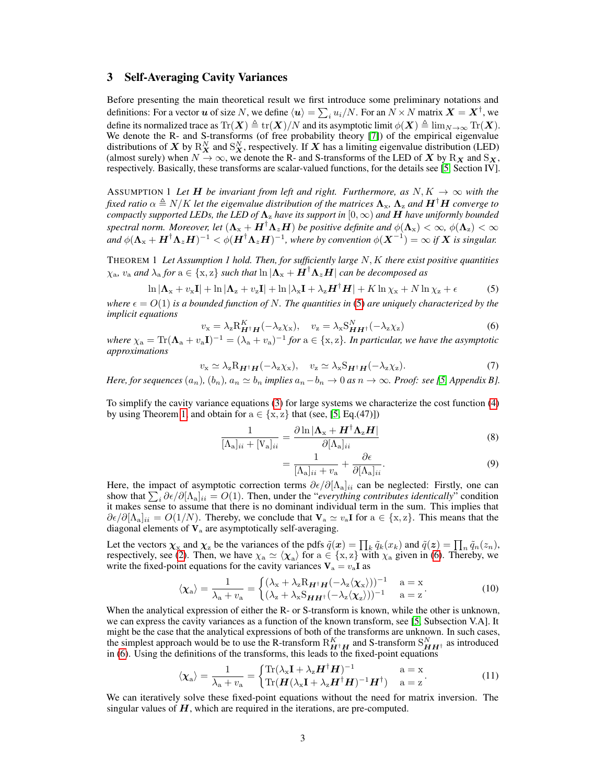#### 3 Self-Averaging Cavity Variances

Before presenting the main theoretical result we first introduce some preliminary notations and definitions: For a vector  $u$  of size N, we define  $\langle u \rangle = \sum_i u_i/N$ . For an  $N \times N$  matrix  $\bm{X} = \bm{X}^\dagger$ , we define its normalized trace as  $\text{Tr}(\boldsymbol{X}) \triangleq \text{tr}(\boldsymbol{X})/N$  and its asymptotic limit  $\phi(\boldsymbol{X}) \triangleq \lim_{N \to \infty} \text{Tr}(\boldsymbol{X})$ . We denote the R- and S-transforms (of free probability theory [\[7\]](#page-4-6)) of the empirical eigenvalue distributions of X by  $R_X^N$  and  $S_X^N$ , respectively. If X has a limiting eigenvalue distribution (LED) (almost surely) when  $N \to \infty$ , we denote the R- and S-transforms of the LED of X by  $R_X$  and  $S_X$ , respectively. Basically, these transforms are scalar-valued functions, for the details see [\[5,](#page-4-4) Section IV].

ASSUMPTION 1 Let **H** be invariant from left and right. Furthermore, as  $N, K \rightarrow \infty$  with the *fixed ratio*  $\alpha \triangleq N/K$  *let the eigenvalue distribution of the matrices*  $\Lambda_x$ ,  $\Lambda_z$  *and*  $H^{\dagger}H$  *converge to compactly supported LEDs, the LED of*  $\Lambda$ <sub>z</sub> *have its support in*  $[0, \infty)$  *and* **H** *have uniformly bounded spectral norm. Moreover, let*  $(\Lambda_x + H^{\dagger} \Lambda_z H)$  *be positive definite and*  $\phi(\Lambda_x) < \infty$ ,  $\phi(\Lambda_z) < \infty$ and  $\phi(\Lambda_x + H^{\dagger} \Lambda_z H)^{-1} < \phi(H^{\dagger} \Lambda_z H)^{-1}$ , where by convention  $\phi(X^{-1}) = \infty$  if X is singular.

<span id="page-2-1"></span>THEOREM 1 *Let Assumption 1 hold. Then, for sufficiently large* N, K *there exist positive quantities*  $\chi_a$ ,  $v_a$  *and*  $\lambda_a$  *for*  $a \in \{x, z\}$  *such that*  $\ln |\Lambda_x + H^{\dagger} \Lambda_z H|$  *can be decomposed as* 

$$
\ln |\mathbf{\Lambda}_{x} + v_{x}\mathbf{I}| + \ln |\mathbf{\Lambda}_{z} + v_{z}\mathbf{I}| + \ln |\lambda_{x}\mathbf{I} + \lambda_{z}\mathbf{H}^{\dagger}\mathbf{H}| + K \ln \chi_{x} + N \ln \chi_{z} + \epsilon
$$
 (5)

*where*  $\epsilon = O(1)$  *is a bounded function of N. The quantities in* [\(5\)](#page-2-0) *are uniquely characterized by the implicit equations*

<span id="page-2-2"></span>
$$
v_{\mathbf{x}} = \lambda_{\mathbf{z}} \mathbf{R}_{\mathbf{H}^{\dagger} \mathbf{H}}^{K}(-\lambda_{\mathbf{z}} \chi_{\mathbf{x}}), \quad v_{\mathbf{z}} = \lambda_{\mathbf{x}} \mathbf{S}_{\mathbf{H} \mathbf{H}^{\dagger}}^{N}(-\lambda_{\mathbf{z}} \chi_{\mathbf{z}})
$$
(6)

where  $\chi_a = Tr(\Lambda_a + v_a I)^{-1} = (\lambda_a + v_a)^{-1}$  for  $a \in \{x, z\}$ . In particular, we have the asymptotic *approximations*

$$
v_{\mathbf{x}} \simeq \lambda_{\mathbf{z}} \mathbf{R}_{\mathbf{H}^{\dagger} \mathbf{H}}(-\lambda_{\mathbf{z}} \chi_{\mathbf{x}}), \quad v_{\mathbf{z}} \simeq \lambda_{\mathbf{x}} \mathbf{S}_{\mathbf{H}^{\dagger} \mathbf{H}}(-\lambda_{\mathbf{z}} \chi_{\mathbf{z}}).
$$
 (7)

*Here, for sequences*  $(a_n)$ ,  $(b_n)$ ,  $a_n \simeq b_n$  *implies*  $a_n - b_n \to 0$  *as*  $n \to \infty$ *. Proof: see [\[5,](#page-4-4) Appendix B].* 

To simplify the cavity variance equations [\(3\)](#page-1-2) for large systems we characterize the cost function [\(4\)](#page-1-3) by using Theorem [1,](#page-2-1) and obtain for  $a \in \{x, z\}$  that (see, [\[5,](#page-4-4) Eq.(47)])

$$
\frac{1}{[\Lambda_{\rm a}]_{ii} + [\mathrm{V}_{\rm a}]_{ii}} = \frac{\partial \ln |\Lambda_{\rm x} + \bm{H}^{\dagger} \Lambda_{\rm z} \bm{H}|}{\partial [\Lambda_{\rm a}]_{ii}} \tag{8}
$$

<span id="page-2-3"></span><span id="page-2-0"></span>
$$
=\frac{1}{[\Lambda_a]_{ii}+v_a}+\frac{\partial \epsilon}{\partial [\Lambda_a]_{ii}}.\tag{9}
$$

Here, the impact of asymptotic correction terms  $\partial \epsilon / \partial [\Lambda_{a}]_{ii}$  can be neglected: Firstly, one can show that  $\sum_i \partial \epsilon / \partial [\Lambda_a]_{ii} = O(1)$ . Then, under the "*everything contributes identically*" condition it makes sense to assume that there is no dominant individual term in the sum. This implies that  $\partial \epsilon / \partial [\Lambda_a]_{ii} = O(1/N)$ . Thereby, we conclude that  $V_a \simeq v_a I$  for  $a \in \{x, z\}$ . This means that the diagonal elements of  $V_a$  are asymptotically self-averaging.

Let the vectors  $\chi_x$  and  $\chi_z$  be the variances of the pdfs  $\tilde{q}(x) = \prod_k \tilde{q}_k(x_k)$  and  $\tilde{q}(z) = \prod_n \tilde{q}_n(z_n)$ , respectively, see [\(2\)](#page-1-1). Then, we have  $\chi_a \simeq \langle \chi_a \rangle$  for  $a \in \{x, z\}$  with  $\chi_a$  given in [\(6\)](#page-2-2). Thereby, we write the fixed-point equations for the cavity variances  $V_a = v_a I$  as

$$
\langle \chi_a \rangle = \frac{1}{\lambda_a + v_a} = \begin{cases} (\lambda_x + \lambda_z R_{\mathbf{H}^\dagger \mathbf{H}} (-\lambda_z \langle \chi_x \rangle))^{-1} & a = x \\ (\lambda_z + \lambda_x S_{\mathbf{H} \mathbf{H}^\dagger} (-\lambda_z \langle \chi_z \rangle))^{-1} & a = z \end{cases}
$$
(10)

When the analytical expression of either the R- or S-transform is known, while the other is unknown, we can express the cavity variances as a function of the known transform, see [\[5,](#page-4-4) Subsection V.A]. It might be the case that the analytical expressions of both of the transforms are unknown. In such cases, the simplest approach would be to use the R-transform  $R_{H^{\dagger}H}^{K}$  and S-transform  $S_{HH^{\dagger}}^{N}$  as introduced in [\(6\)](#page-2-2). Using the definitions of the transforms, this leads to the fixed-point equations

<span id="page-2-4"></span>
$$
\langle \chi_{a} \rangle = \frac{1}{\lambda_{a} + v_{a}} = \begin{cases} \text{Tr}(\lambda_{x} \mathbf{I} + \lambda_{z} \mathbf{H}^{\dagger} \mathbf{H})^{-1} & a = x \\ \text{Tr}(\mathbf{H}(\lambda_{x} \mathbf{I} + \lambda_{z} \mathbf{H}^{\dagger} \mathbf{H})^{-1} \mathbf{H}^{\dagger}) & a = z \end{cases}
$$
(11)

We can iteratively solve these fixed-point equations without the need for matrix inversion. The singular values of  $H$ , which are required in the iterations, are pre-computed.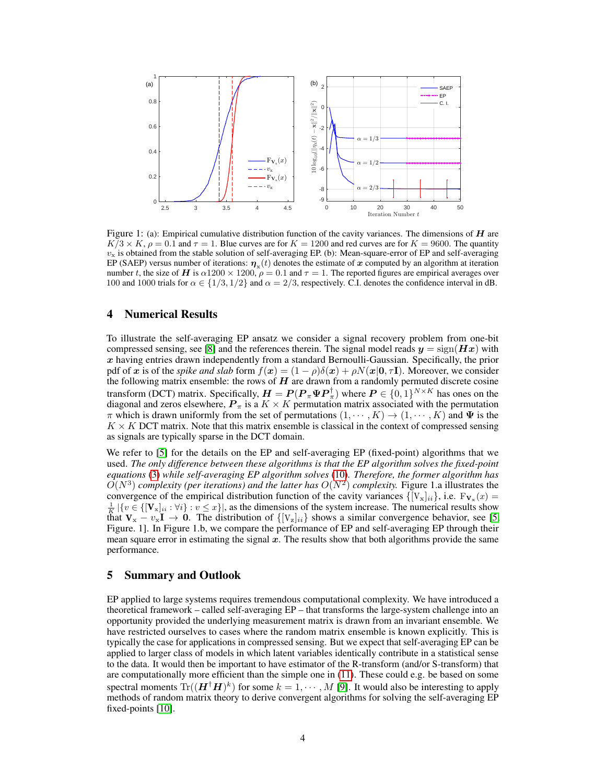

Figure 1: (a): Empirical cumulative distribution function of the cavity variances. The dimensions of  $H$  are  $K/3 \times K$ ,  $\rho = 0.1$  and  $\tau = 1$ . Blue curves are for  $K = 1200$  and red curves are for  $K = 9600$ . The quantity  $v<sub>x</sub>$  is obtained from the stable solution of self-averaging EP. (b): Mean-square-error of EP and self-averaging EP (SAEP) versus number of iterations:  $\eta_x(t)$  denotes the estimate of x computed by an algorithm at iteration number t, the size of H is  $\alpha$ 1200  $\times$  1200,  $\rho = 0.1$  and  $\tau = 1$ . The reported figures are empirical averages over 100 and 1000 trials for  $\alpha \in \{1/3, 1/2\}$  and  $\alpha = 2/3$ , respectively. C.I. denotes the confidence interval in dB.

### 4 Numerical Results

To illustrate the self-averaging EP ansatz we consider a signal recovery problem from one-bit compressed sensing, see [\[8\]](#page-4-7) and the references therein. The signal model reads  $y = sign(Hx)$  with  $x$  having entries drawn independently from a standard Bernoulli-Gaussian. Specifically, the prior pdf of x is of the *spike and slab* form  $f(x) = (1 - \rho)\delta(x) + \rho N(x|\mathbf{0}, \tau\mathbf{I})$ . Moreover, we consider the following matrix ensemble: the rows of  $H$  are drawn from a randomly permuted discrete cosine transform (DCT) matrix. Specifically,  $H = P(P_{\pi} \Psi P_{\pi}^{\dagger})$  where  $P \in \{0,1\}^{N \times K}$  has ones on the diagonal and zeros elsewhere,  $P_{\pi}$  is a  $K \times K$  permutation matrix associated with the permutation  $\pi$  which is drawn uniformly from the set of permutations  $(1, \dots, K) \to (1, \dots, K)$  and  $\Psi$  is the  $K \times K$  DCT matrix. Note that this matrix ensemble is classical in the context of compressed sensing as signals are typically sparse in the DCT domain.

We refer to [\[5\]](#page-4-4) for the details on the EP and self-averaging EP (fixed-point) algorithms that we used. *The only difference between these algorithms is that the EP algorithm solves the fixed-point equations* [\(3\)](#page-1-2) *while self-averaging EP algorithm solves* [\(10\)](#page-2-3)*. Therefore, the former algorithm has*  $\hat{O}(N^3)$  *complexity (per iterations) and the latter has*  $O(N^2)$  *complexity.* Figure 1.a illustrates the convergence of the empirical distribution function of the cavity variances  $\{[\mathbf{V}_x]_{ii}\}\)$ , i.e.  $\mathbf{F}_{\mathbf{V}_x}(x)$  $\frac{1}{K}$   $|\{v \in \{[\mathbf{V}_x]_{ii} : \forall i\} : v \leq x\}|$ , as the dimensions of the system increase. The numerical results show that  $V_x - v_x I \to 0$ . The distribution of  $\{ [V_z]_{ii} \}$  shows a similar convergence behavior, see [\[5,](#page-4-4) Figure. 1]. In Figure 1.b, we compare the performance of EP and self-averaging EP through their mean square error in estimating the signal  $x$ . The results show that both algorithms provide the same performance.

#### 5 Summary and Outlook

EP applied to large systems requires tremendous computational complexity. We have introduced a theoretical framework – called self-averaging EP – that transforms the large-system challenge into an opportunity provided the underlying measurement matrix is drawn from an invariant ensemble. We have restricted ourselves to cases where the random matrix ensemble is known explicitly. This is typically the case for applications in compressed sensing. But we expect that self-averaging EP can be applied to larger class of models in which latent variables identically contribute in a statistical sense to the data. It would then be important to have estimator of the R-transform (and/or S-transform) that are computationally more efficient than the simple one in [\(11\)](#page-2-4). These could e.g. be based on some spectral moments  $\text{Tr}((\boldsymbol{H}^{\dagger}\boldsymbol{H})^k)$  for some  $k = 1, \cdots, M$  [\[9\]](#page-4-8). It would also be interesting to apply methods of random matrix theory to derive convergent algorithms for solving the self-averaging EP fixed-points [\[10\]](#page-4-9).